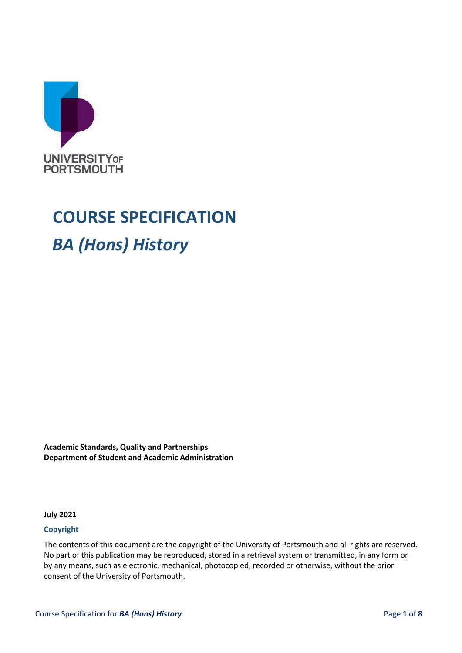

# **COURSE SPECIFICATION**

## *BA (Hons) History*

**Academic Standards, Quality and Partnerships Department of Student and Academic Administration**

**July 2021**

#### **Copyright**

The contents of this document are the copyright of the University of Portsmouth and all rights are reserved. No part of this publication may be reproduced, stored in a retrieval system or transmitted, in any form or by any means, such as electronic, mechanical, photocopied, recorded or otherwise, without the prior consent of the University of Portsmouth.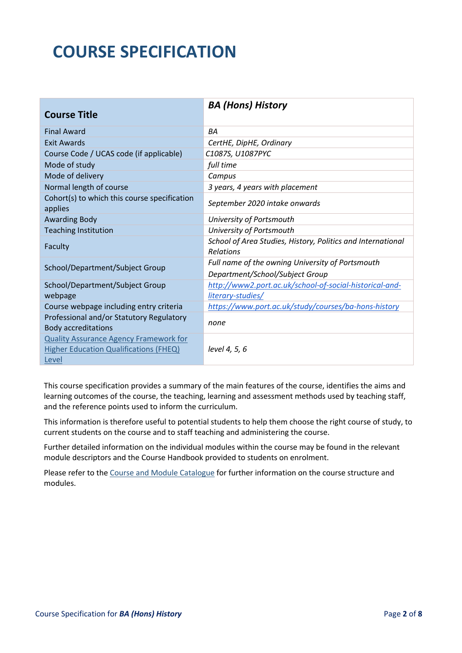## **COURSE SPECIFICATION**

| <b>Course Title</b>                                                                                     | <b>BA (Hons) History</b>                                                 |
|---------------------------------------------------------------------------------------------------------|--------------------------------------------------------------------------|
| <b>Final Award</b>                                                                                      | <b>BA</b>                                                                |
| <b>Exit Awards</b>                                                                                      | CertHE, DipHE, Ordinary                                                  |
| Course Code / UCAS code (if applicable)                                                                 | C1087S, U1087PYC                                                         |
| Mode of study                                                                                           | full time                                                                |
| Mode of delivery                                                                                        | Campus                                                                   |
| Normal length of course                                                                                 | 3 years, 4 years with placement                                          |
| Cohort(s) to which this course specification<br>applies                                                 | September 2020 intake onwards                                            |
| <b>Awarding Body</b>                                                                                    | University of Portsmouth                                                 |
| <b>Teaching Institution</b>                                                                             | University of Portsmouth                                                 |
| Faculty                                                                                                 | School of Area Studies, History, Politics and International<br>Relations |
|                                                                                                         | Full name of the owning University of Portsmouth                         |
| School/Department/Subject Group                                                                         | Department/School/Subject Group                                          |
| School/Department/Subject Group                                                                         | http://www2.port.ac.uk/school-of-social-historical-and-                  |
| webpage                                                                                                 | literary-studies/                                                        |
| Course webpage including entry criteria                                                                 | https://www.port.ac.uk/study/courses/ba-hons-history                     |
| Professional and/or Statutory Regulatory<br><b>Body accreditations</b>                                  | none                                                                     |
| <b>Quality Assurance Agency Framework for</b><br><b>Higher Education Qualifications (FHEQ)</b><br>Level | level 4, 5, 6                                                            |

This course specification provides a summary of the main features of the course, identifies the aims and learning outcomes of the course, the teaching, learning and assessment methods used by teaching staff, and the reference points used to inform the curriculum.

This information is therefore useful to potential students to help them choose the right course of study, to current students on the course and to staff teaching and administering the course.

Further detailed information on the individual modules within the course may be found in the relevant module descriptors and the Course Handbook provided to students on enrolment.

Please refer to th[e Course and Module Catalogue](https://course-module-catalog.port.ac.uk/#/welcome) for further information on the course structure and modules.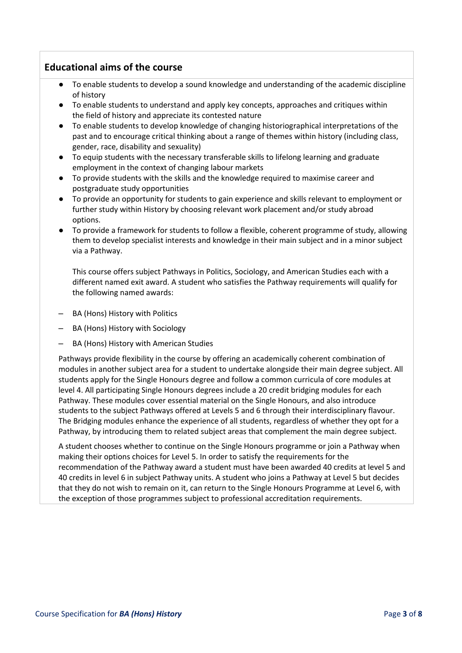## **Educational aims of the course**

- To enable students to develop a sound knowledge and understanding of the academic discipline of history
- To enable students to understand and apply key concepts, approaches and critiques within the field of history and appreciate its contested nature
- To enable students to develop knowledge of changing historiographical interpretations of the past and to encourage critical thinking about a range of themes within history (including class, gender, race, disability and sexuality)
- To equip students with the necessary transferable skills to lifelong learning and graduate employment in the context of changing labour markets
- To provide students with the skills and the knowledge required to maximise career and postgraduate study opportunities
- To provide an opportunity for students to gain experience and skills relevant to employment or further study within History by choosing relevant work placement and/or study abroad options.
- To provide a framework for students to follow a flexible, coherent programme of study, allowing them to develop specialist interests and knowledge in their main subject and in a minor subject via a Pathway.

This course offers subject Pathways in Politics, Sociology, and American Studies each with a different named exit award. A student who satisfies the Pathway requirements will qualify for the following named awards:

- BA (Hons) History with Politics
- BA (Hons) History with Sociology
- BA (Hons) History with American Studies

Pathways provide flexibility in the course by offering an academically coherent combination of modules in another subject area for a student to undertake alongside their main degree subject. All students apply for the Single Honours degree and follow a common curricula of core modules at level 4. All participating Single Honours degrees include a 20 credit bridging modules for each Pathway. These modules cover essential material on the Single Honours, and also introduce students to the subject Pathways offered at Levels 5 and 6 through their interdisciplinary flavour. The Bridging modules enhance the experience of all students, regardless of whether they opt for a Pathway, by introducing them to related subject areas that complement the main degree subject.

A student chooses whether to continue on the Single Honours programme or join a Pathway when making their options choices for Level 5. In order to satisfy the requirements for the recommendation of the Pathway award a student must have been awarded 40 credits at level 5 and 40 credits in level 6 in subject Pathway units. A student who joins a Pathway at Level 5 but decides that they do not wish to remain on it, can return to the Single Honours Programme at Level 6, with the exception of those programmes subject to professional accreditation requirements.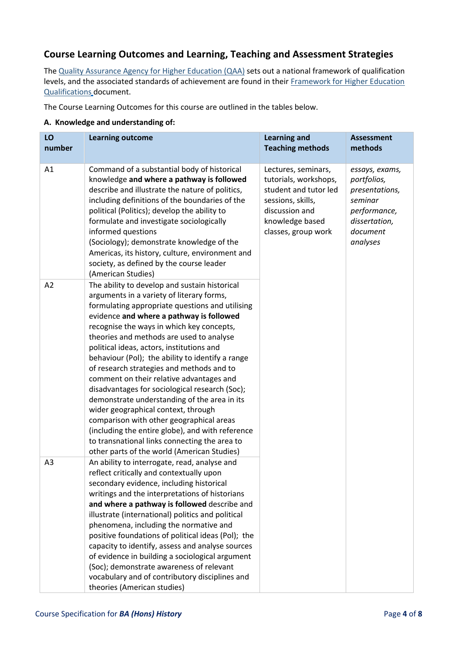## **Course Learning Outcomes and Learning, Teaching and Assessment Strategies**

Th[e Quality Assurance Agency for Higher Education \(QAA\)](http://www.qaa.ac.uk/en) sets out a national framework of qualification levels, and the associated standards of achievement are found in their [Framework for Higher Education](https://www.qaa.ac.uk/docs/qaa/subject-benchmark-statements/subject-benchmark-statement-history.pdf?sfvrsn=49e2cb81_4) [Qualifications](http://www.qaa.ac.uk/en/Publications/Documents/qualifications-frameworks.pdf) [d](http://www.qaa.ac.uk/en/Publications/Documents/qualifications-frameworks.pdf)ocument.

The Course Learning Outcomes for this course are outlined in the tables below.

#### **A. Knowledge and understanding of:**

| LO<br>number   | <b>Learning outcome</b>                                                                                                                                                                                                                                                                                                                                                                                                                                                                                                                                                                                                                                                                                                                                                                                               | <b>Learning and</b><br><b>Teaching methods</b>                                                                                                         | <b>Assessment</b><br>methods                                                                                        |
|----------------|-----------------------------------------------------------------------------------------------------------------------------------------------------------------------------------------------------------------------------------------------------------------------------------------------------------------------------------------------------------------------------------------------------------------------------------------------------------------------------------------------------------------------------------------------------------------------------------------------------------------------------------------------------------------------------------------------------------------------------------------------------------------------------------------------------------------------|--------------------------------------------------------------------------------------------------------------------------------------------------------|---------------------------------------------------------------------------------------------------------------------|
| A1             | Command of a substantial body of historical<br>knowledge and where a pathway is followed<br>describe and illustrate the nature of politics,<br>including definitions of the boundaries of the<br>political (Politics); develop the ability to<br>formulate and investigate sociologically<br>informed questions<br>(Sociology); demonstrate knowledge of the<br>Americas, its history, culture, environment and<br>society, as defined by the course leader<br>(American Studies)                                                                                                                                                                                                                                                                                                                                     | Lectures, seminars,<br>tutorials, workshops,<br>student and tutor led<br>sessions, skills,<br>discussion and<br>knowledge based<br>classes, group work | essays, exams,<br>portfolios,<br>presentations,<br>seminar<br>performance,<br>dissertation,<br>document<br>analyses |
| A2             | The ability to develop and sustain historical<br>arguments in a variety of literary forms,<br>formulating appropriate questions and utilising<br>evidence and where a pathway is followed<br>recognise the ways in which key concepts,<br>theories and methods are used to analyse<br>political ideas, actors, institutions and<br>behaviour (Pol); the ability to identify a range<br>of research strategies and methods and to<br>comment on their relative advantages and<br>disadvantages for sociological research (Soc);<br>demonstrate understanding of the area in its<br>wider geographical context, through<br>comparison with other geographical areas<br>(including the entire globe), and with reference<br>to transnational links connecting the area to<br>other parts of the world (American Studies) |                                                                                                                                                        |                                                                                                                     |
| A <sub>3</sub> | An ability to interrogate, read, analyse and<br>reflect critically and contextually upon<br>secondary evidence, including historical<br>writings and the interpretations of historians<br>and where a pathway is followed describe and<br>illustrate (international) politics and political<br>phenomena, including the normative and<br>positive foundations of political ideas (Pol); the<br>capacity to identify, assess and analyse sources<br>of evidence in building a sociological argument<br>(Soc); demonstrate awareness of relevant<br>vocabulary and of contributory disciplines and<br>theories (American studies)                                                                                                                                                                                       |                                                                                                                                                        |                                                                                                                     |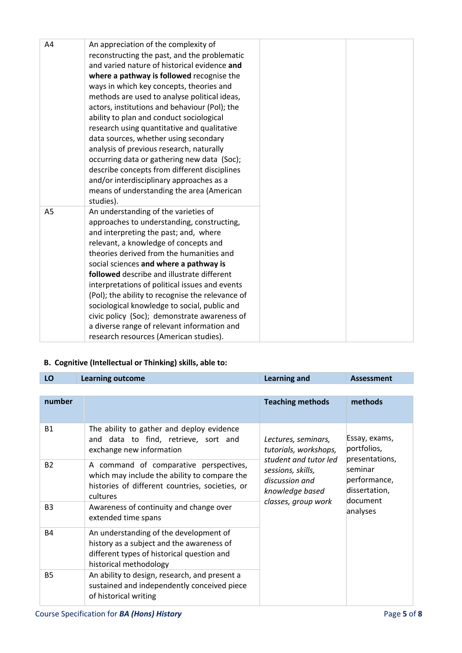| A4 | An appreciation of the complexity of<br>reconstructing the past, and the problematic<br>and varied nature of historical evidence and<br>where a pathway is followed recognise the<br>ways in which key concepts, theories and<br>methods are used to analyse political ideas,<br>actors, institutions and behaviour (Pol); the<br>ability to plan and conduct sociological<br>research using quantitative and qualitative<br>data sources, whether using secondary                                                                                                                                      |
|----|---------------------------------------------------------------------------------------------------------------------------------------------------------------------------------------------------------------------------------------------------------------------------------------------------------------------------------------------------------------------------------------------------------------------------------------------------------------------------------------------------------------------------------------------------------------------------------------------------------|
|    | analysis of previous research, naturally<br>occurring data or gathering new data (Soc);<br>describe concepts from different disciplines<br>and/or interdisciplinary approaches as a<br>means of understanding the area (American<br>studies).                                                                                                                                                                                                                                                                                                                                                           |
| A5 | An understanding of the varieties of<br>approaches to understanding, constructing,<br>and interpreting the past; and, where<br>relevant, a knowledge of concepts and<br>theories derived from the humanities and<br>social sciences and where a pathway is<br>followed describe and illustrate different<br>interpretations of political issues and events<br>(Pol); the ability to recognise the relevance of<br>sociological knowledge to social, public and<br>civic policy (Soc); demonstrate awareness of<br>a diverse range of relevant information and<br>research resources (American studies). |

## **B. Cognitive (Intellectual or Thinking) skills, able to:**

| LO             | <b>Learning outcome</b>                                                                                                                                     | <b>Learning and</b>                                                                                          | <b>Assessment</b>                         |
|----------------|-------------------------------------------------------------------------------------------------------------------------------------------------------------|--------------------------------------------------------------------------------------------------------------|-------------------------------------------|
|                |                                                                                                                                                             |                                                                                                              |                                           |
| number         |                                                                                                                                                             | <b>Teaching methods</b>                                                                                      | methods                                   |
| <b>B1</b>      | The ability to gather and deploy evidence<br>and data to find, retrieve, sort and<br>exchange new information                                               | Lectures, seminars,<br>tutorials, workshops,                                                                 | Essay, exams,<br>portfolios,              |
| <b>B2</b>      | A command of comparative perspectives,<br>which may include the ability to compare the<br>histories of different countries, societies, or<br>cultures       | presentations,<br>student and tutor led<br>seminar<br>sessions, skills,<br>discussion and<br>knowledge based | performance,<br>dissertation,<br>document |
| B <sub>3</sub> | Awareness of continuity and change over<br>extended time spans                                                                                              | classes, group work                                                                                          | analyses                                  |
| <b>B4</b>      | An understanding of the development of<br>history as a subject and the awareness of<br>different types of historical question and<br>historical methodology |                                                                                                              |                                           |
| <b>B5</b>      | An ability to design, research, and present a<br>sustained and independently conceived piece<br>of historical writing                                       |                                                                                                              |                                           |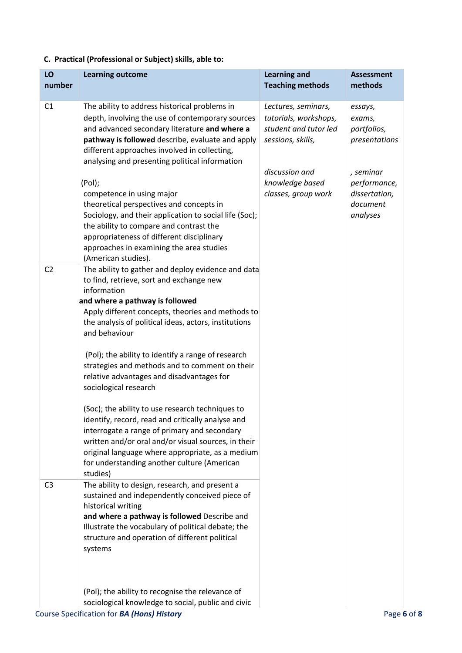## **C. Practical (Professional or Subject) skills, able to:**

| LO<br>number   | <b>Learning outcome</b>                                                                                                                                                                                                                                                                                                     | <b>Learning and</b><br><b>Teaching methods</b>                                             | <b>Assessment</b><br>methods                                       |
|----------------|-----------------------------------------------------------------------------------------------------------------------------------------------------------------------------------------------------------------------------------------------------------------------------------------------------------------------------|--------------------------------------------------------------------------------------------|--------------------------------------------------------------------|
| C <sub>1</sub> | The ability to address historical problems in<br>depth, involving the use of contemporary sources<br>and advanced secondary literature and where a<br>pathway is followed describe, evaluate and apply<br>different approaches involved in collecting,                                                                      | Lectures, seminars,<br>tutorials, workshops,<br>student and tutor led<br>sessions, skills, | essays,<br>exams,<br>portfolios,<br>presentations                  |
|                | analysing and presenting political information<br>(Pol);<br>competence in using major<br>theoretical perspectives and concepts in<br>Sociology, and their application to social life (Soc);<br>the ability to compare and contrast the<br>appropriateness of different disciplinary                                         | discussion and<br>knowledge based<br>classes, group work                                   | , seminar<br>performance,<br>dissertation,<br>document<br>analyses |
| C <sub>2</sub> | approaches in examining the area studies<br>(American studies).<br>The ability to gather and deploy evidence and data<br>to find, retrieve, sort and exchange new                                                                                                                                                           |                                                                                            |                                                                    |
|                | information<br>and where a pathway is followed<br>Apply different concepts, theories and methods to<br>the analysis of political ideas, actors, institutions<br>and behaviour                                                                                                                                               |                                                                                            |                                                                    |
|                | (Pol); the ability to identify a range of research<br>strategies and methods and to comment on their<br>relative advantages and disadvantages for<br>sociological research                                                                                                                                                  |                                                                                            |                                                                    |
|                | (Soc); the ability to use research techniques to<br>identify, record, read and critically analyse and<br>interrogate a range of primary and secondary<br>written and/or oral and/or visual sources, in their<br>original language where appropriate, as a medium<br>for understanding another culture (American<br>studies) |                                                                                            |                                                                    |
| C <sub>3</sub> | The ability to design, research, and present a<br>sustained and independently conceived piece of<br>historical writing<br>and where a pathway is followed Describe and<br>Illustrate the vocabulary of political debate; the<br>structure and operation of different political<br>systems                                   |                                                                                            |                                                                    |
|                | (Pol); the ability to recognise the relevance of<br>sociological knowledge to social, public and civic<br>Course Specification for BA (Hons) History                                                                                                                                                                        |                                                                                            | Page 6 of 8                                                        |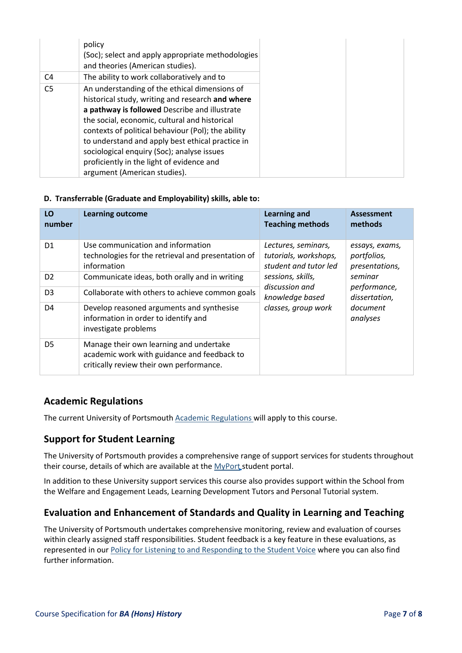|                | policy<br>(Soc); select and apply appropriate methodologies<br>and theories (American studies).                                                                                                                                                                                                                                                                                                                                          |
|----------------|------------------------------------------------------------------------------------------------------------------------------------------------------------------------------------------------------------------------------------------------------------------------------------------------------------------------------------------------------------------------------------------------------------------------------------------|
| C4             | The ability to work collaboratively and to                                                                                                                                                                                                                                                                                                                                                                                               |
| C <sub>5</sub> | An understanding of the ethical dimensions of<br>historical study, writing and research and where<br>a pathway is followed Describe and illustrate<br>the social, economic, cultural and historical<br>contexts of political behaviour (Pol); the ability<br>to understand and apply best ethical practice in<br>sociological enquiry (Soc); analyse issues<br>proficiently in the light of evidence and<br>argument (American studies). |

#### **D. Transferrable (Graduate and Employability) skills, able to:**

| LO<br>number   | <b>Learning outcome</b>                                                                                                            | <b>Learning and</b><br><b>Teaching methods</b>                        | Assessment<br>methods                           |
|----------------|------------------------------------------------------------------------------------------------------------------------------------|-----------------------------------------------------------------------|-------------------------------------------------|
| D <sub>1</sub> | Use communication and information<br>technologies for the retrieval and presentation of<br>information                             | Lectures, seminars,<br>tutorials, workshops,<br>student and tutor led | essays, exams,<br>portfolios,<br>presentations, |
| D <sub>2</sub> | Communicate ideas, both orally and in writing                                                                                      | sessions, skills,<br>discussion and                                   | seminar                                         |
| D <sub>3</sub> | Collaborate with others to achieve common goals                                                                                    | knowledge based                                                       | performance,<br>dissertation,                   |
| D4             | Develop reasoned arguments and synthesise<br>information in order to identify and<br>investigate problems                          | classes, group work                                                   | document<br>analyses                            |
| D5             | Manage their own learning and undertake<br>academic work with guidance and feedback to<br>critically review their own performance. |                                                                       |                                                 |

## **Academic Regulations**

The current University of Portsmouth [Academic Regulations w](https://staff.port.ac.uk/departments/services/academicregistry/qmd/assessmentandregulations/)ill apply to this course.

## **Support for Student Learning**

The University of Portsmouth provides a comprehensive range of support services for students throughout their course, details of which are available at the [MyPort](http://myport.ac.uk/) student portal.

In addition to these University support services this course also provides support within the School from the Welfare and Engagement Leads, Learning Development Tutors and Personal Tutorial system.

## **Evaluation and Enhancement of Standards and Quality in Learning and Teaching**

The University of Portsmouth undertakes comprehensive monitoring, review and evaluation of courses within clearly assigned staff responsibilities. Student feedback is a key feature in these evaluations, as represented in ou[r Policy for Listening to and Responding to the Student Voice](http://policies.docstore.port.ac.uk/policy-069.pdf) [w](http://policies.docstore.port.ac.uk/policy-069.pdf)here you can also find further information.